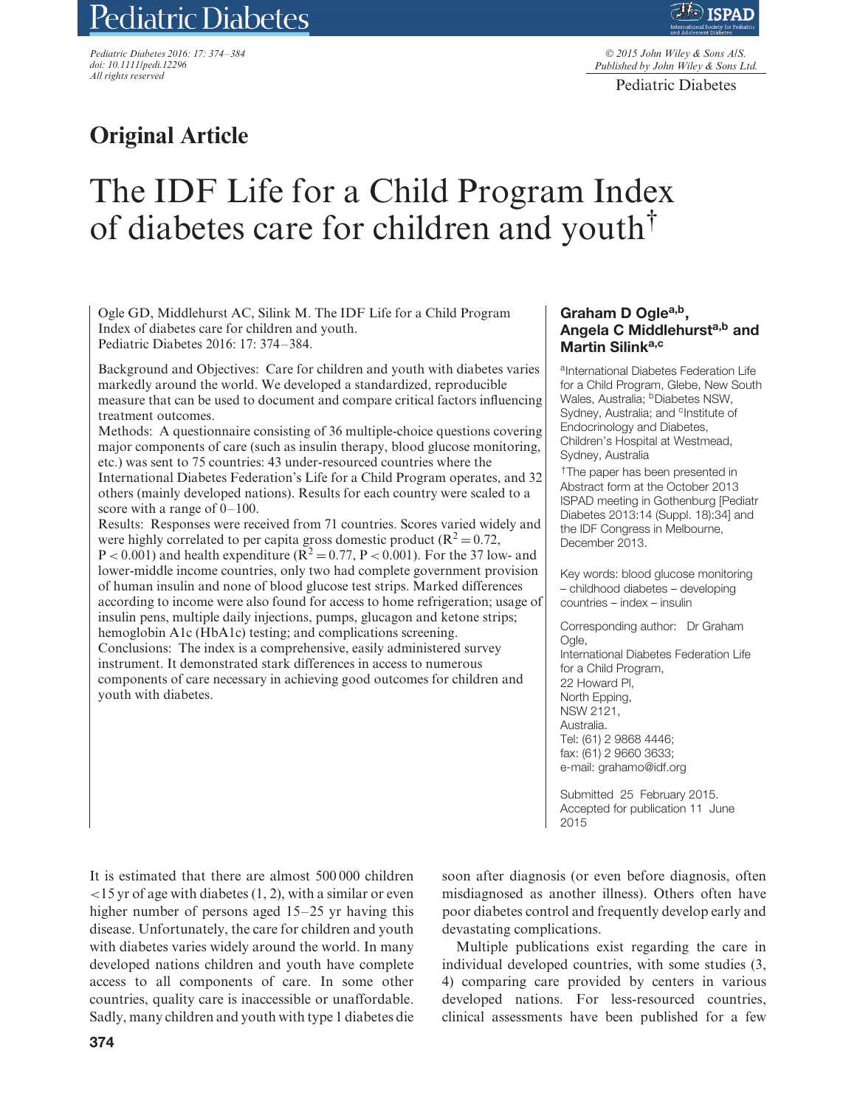# Pediatric Diabetes

*Pediatric Diabetes 2016: 17: 374–384 doi: 10.1111/pedi.12296 All rights reserved*



© *2015 John Wiley & Sons A/S. Published by John Wiley & Sons Ltd.*

Pediatric Diabetes

# **Original Article**

# The IDF Life for a Child Program Index of diabetes care for children and youth†

Ogle GD, Middlehurst AC, Silink M. The IDF Life for a Child Program Index of diabetes care for children and youth. Pediatric Diabetes 2016: 17: 374–384.

Background and Objectives: Care for children and youth with diabetes varies markedly around the world. We developed a standardized, reproducible measure that can be used to document and compare critical factors influencing treatment outcomes.

Methods: A questionnaire consisting of 36 multiple-choice questions covering major components of care (such as insulin therapy, blood glucose monitoring, etc.) was sent to 75 countries: 43 under-resourced countries where the International Diabetes Federation's Life for a Child Program operates, and 32 others (mainly developed nations). Results for each country were scaled to a score with a range of 0–100.

Results: Responses were received from 71 countries. Scores varied widely and were highly correlated to per capita gross domestic product ( $\mathbb{R}^2 = 0.72$ ,  $P < 0.001$ ) and health expenditure ( $R^2 = 0.77$ ,  $P < 0.001$ ). For the 37 low- and lower-middle income countries, only two had complete government provision of human insulin and none of blood glucose test strips. Marked differences according to income were also found for access to home refrigeration; usage of insulin pens, multiple daily injections, pumps, glucagon and ketone strips; hemoglobin A1c (HbA1c) testing; and complications screening. Conclusions: The index is a comprehensive, easily administered survey instrument. It demonstrated stark differences in access to numerous components of care necessary in achieving good outcomes for children and youth with diabetes.

### Graham D Ogle<sup>a,b</sup>, **Angela C Middlehursta,b and Martin Silink<sup>a,c</sup>**

aInternational Diabetes Federation Life for a Child Program, Glebe, New South Wales, Australia; <sup>b</sup>Diabetes NSW, Sydney, Australia; and <sup>c</sup>Institute of Endocrinology and Diabetes, Children's Hospital at Westmead, Sydney, Australia

†The paper has been presented in Abstract form at the October 2013 ISPAD meeting in Gothenburg [Pediatr Diabetes 2013:14 (Suppl. 18):34] and the IDF Congress in Melbourne, December 2013.

Key words: blood glucose monitoring – childhood diabetes – developing countries – index – insulin

Corresponding author: Dr Graham Ogle, International Diabetes Federation Life for a Child Program. 22 Howard Pl, North Epping, NSW 2121, Australia. Tel: (61) 2 9868 4446; fax: (61) 2 9660 3633; e-mail: grahamo@idf.org

Submitted 25 February 2015. Accepted for publication 11 June 2015

It is estimated that there are almost 500 000 children *<*15 yr of age with diabetes (1, 2), with a similar or even higher number of persons aged 15–25 yr having this disease. Unfortunately, the care for children and youth with diabetes varies widely around the world. In many developed nations children and youth have complete access to all components of care. In some other countries, quality care is inaccessible or unaffordable. Sadly, many children and youth with type 1 diabetes die soon after diagnosis (or even before diagnosis, often misdiagnosed as another illness). Others often have poor diabetes control and frequently develop early and devastating complications.

Multiple publications exist regarding the care in individual developed countries, with some studies (3, 4) comparing care provided by centers in various developed nations. For less-resourced countries, clinical assessments have been published for a few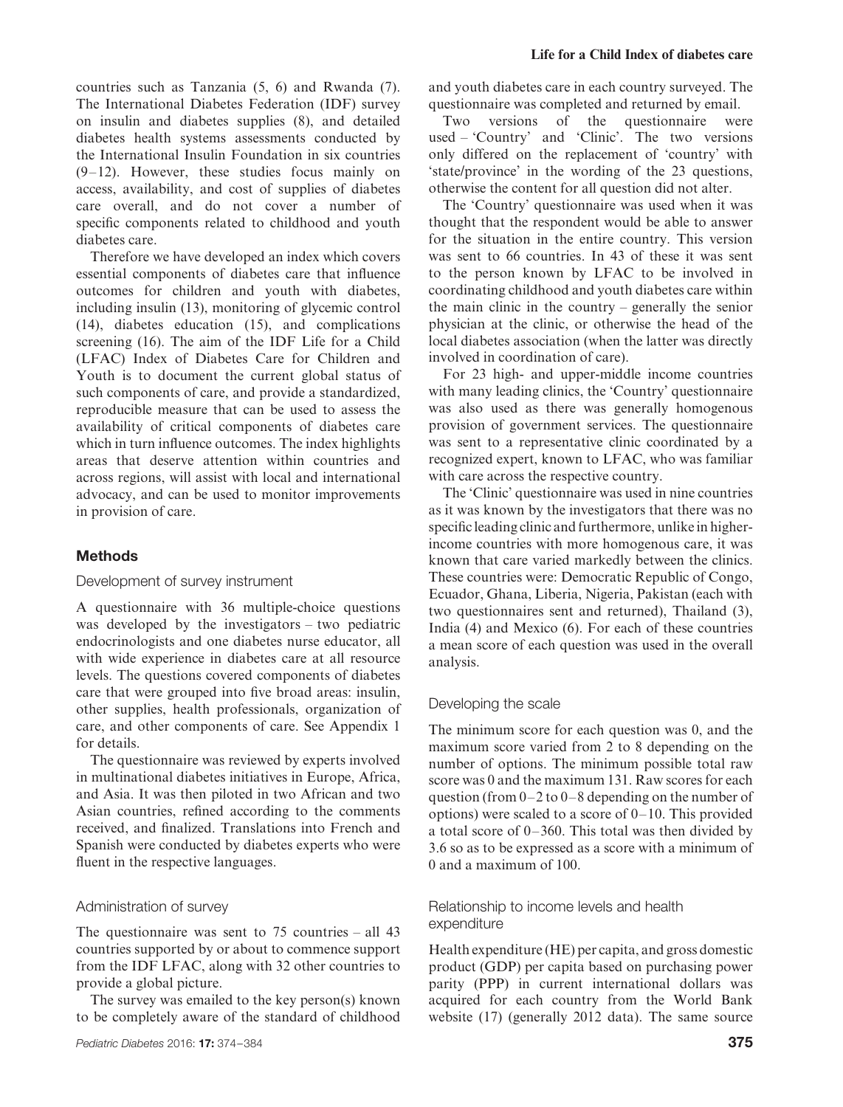countries such as Tanzania (5, 6) and Rwanda (7). The International Diabetes Federation (IDF) survey on insulin and diabetes supplies (8), and detailed diabetes health systems assessments conducted by the International Insulin Foundation in six countries (9–12). However, these studies focus mainly on access, availability, and cost of supplies of diabetes care overall, and do not cover a number of specific components related to childhood and youth diabetes care.

Therefore we have developed an index which covers essential components of diabetes care that influence outcomes for children and youth with diabetes, including insulin (13), monitoring of glycemic control (14), diabetes education (15), and complications screening (16). The aim of the IDF Life for a Child (LFAC) Index of Diabetes Care for Children and Youth is to document the current global status of such components of care, and provide a standardized, reproducible measure that can be used to assess the availability of critical components of diabetes care which in turn influence outcomes. The index highlights areas that deserve attention within countries and across regions, will assist with local and international advocacy, and can be used to monitor improvements in provision of care.

#### **Methods**

#### Development of survey instrument

A questionnaire with 36 multiple-choice questions was developed by the investigators – two pediatric endocrinologists and one diabetes nurse educator, all with wide experience in diabetes care at all resource levels. The questions covered components of diabetes care that were grouped into five broad areas: insulin, other supplies, health professionals, organization of care, and other components of care. See Appendix 1 for details.

The questionnaire was reviewed by experts involved in multinational diabetes initiatives in Europe, Africa, and Asia. It was then piloted in two African and two Asian countries, refined according to the comments received, and finalized. Translations into French and Spanish were conducted by diabetes experts who were fluent in the respective languages.

#### Administration of survey

The questionnaire was sent to 75 countries – all 43 countries supported by or about to commence support from the IDF LFAC, along with 32 other countries to provide a global picture.

The survey was emailed to the key person(s) known to be completely aware of the standard of childhood and youth diabetes care in each country surveyed. The questionnaire was completed and returned by email.

Two versions of the questionnaire were used – 'Country' and 'Clinic'. The two versions only differed on the replacement of 'country' with 'state/province' in the wording of the 23 questions, otherwise the content for all question did not alter.

The 'Country' questionnaire was used when it was thought that the respondent would be able to answer for the situation in the entire country. This version was sent to 66 countries. In 43 of these it was sent to the person known by LFAC to be involved in coordinating childhood and youth diabetes care within the main clinic in the country – generally the senior physician at the clinic, or otherwise the head of the local diabetes association (when the latter was directly involved in coordination of care).

For 23 high- and upper-middle income countries with many leading clinics, the 'Country' questionnaire was also used as there was generally homogenous provision of government services. The questionnaire was sent to a representative clinic coordinated by a recognized expert, known to LFAC, who was familiar with care across the respective country.

The 'Clinic' questionnaire was used in nine countries as it was known by the investigators that there was no specific leading clinic and furthermore, unlike in higherincome countries with more homogenous care, it was known that care varied markedly between the clinics. These countries were: Democratic Republic of Congo, Ecuador, Ghana, Liberia, Nigeria, Pakistan (each with two questionnaires sent and returned), Thailand (3), India (4) and Mexico (6). For each of these countries a mean score of each question was used in the overall analysis.

#### Developing the scale

The minimum score for each question was 0, and the maximum score varied from 2 to 8 depending on the number of options. The minimum possible total raw score was 0 and the maximum 131. Raw scores for each question (from 0–2 to 0–8 depending on the number of options) were scaled to a score of 0–10. This provided a total score of 0–360. This total was then divided by 3.6 so as to be expressed as a score with a minimum of 0 and a maximum of 100.

## Relationship to income levels and health expenditure

Health expenditure (HE) per capita, and gross domestic product (GDP) per capita based on purchasing power parity (PPP) in current international dollars was acquired for each country from the World Bank website (17) (generally 2012 data). The same source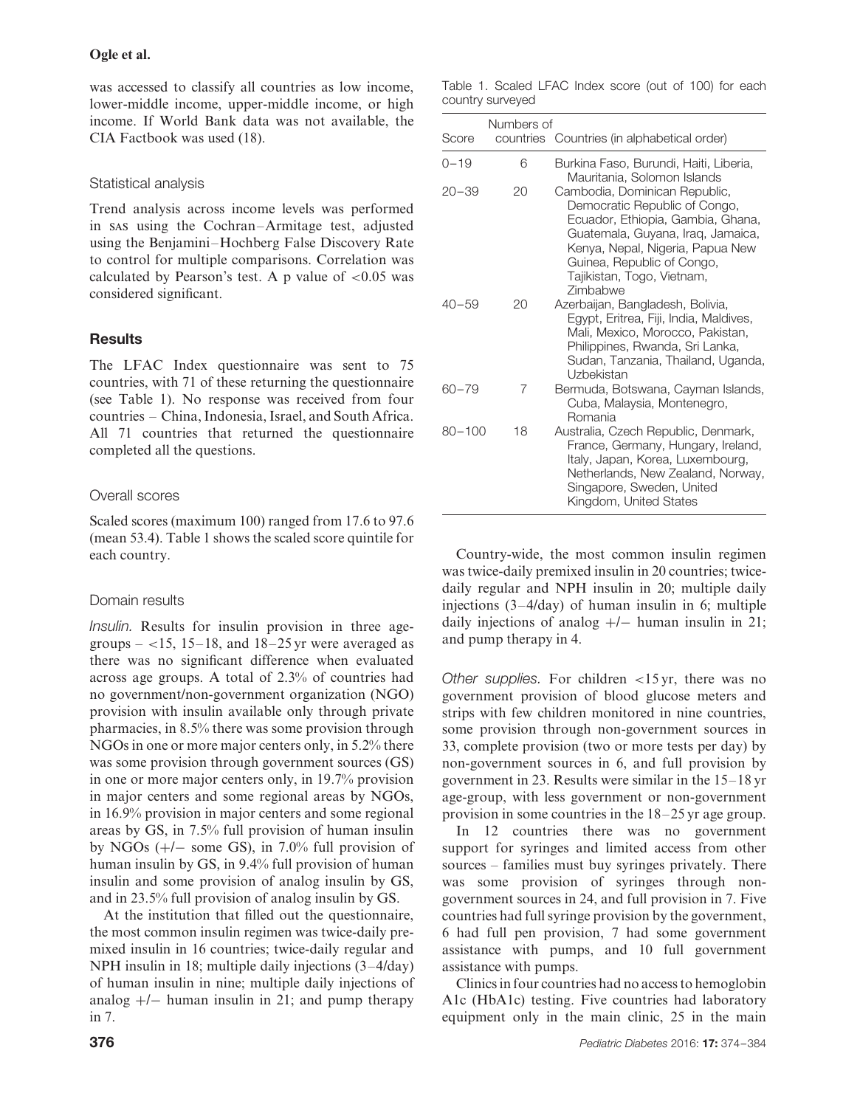was accessed to classify all countries as low income, lower-middle income, upper-middle income, or high income. If World Bank data was not available, the CIA Factbook was used (18).

## Statistical analysis

Trend analysis across income levels was performed in sas using the Cochran–Armitage test, adjusted using the Benjamini–Hochberg False Discovery Rate to control for multiple comparisons. Correlation was calculated by Pearson's test. A p value of *<*0.05 was considered significant.

# **Results**

The LFAC Index questionnaire was sent to 75 countries, with 71 of these returning the questionnaire (see Table 1). No response was received from four countries – China, Indonesia, Israel, and South Africa. All 71 countries that returned the questionnaire completed all the questions.

# Overall scores

Scaled scores (maximum 100) ranged from 17.6 to 97.6 (mean 53.4). Table 1 shows the scaled score quintile for each country.

# Domain results

*Insulin.* Results for insulin provision in three agegroups  $-$  <15, 15–18, and 18–25 yr were averaged as there was no significant difference when evaluated across age groups. A total of 2.3% of countries had no government/non-government organization (NGO) provision with insulin available only through private pharmacies, in 8.5% there was some provision through NGOs in one or more major centers only, in 5.2% there was some provision through government sources (GS) in one or more major centers only, in 19.7% provision in major centers and some regional areas by NGOs, in 16.9% provision in major centers and some regional areas by GS, in 7.5% full provision of human insulin by NGOs  $(+/-$  some GS), in 7.0% full provision of human insulin by GS, in 9.4% full provision of human insulin and some provision of analog insulin by GS, and in 23.5% full provision of analog insulin by GS.

At the institution that filled out the questionnaire, the most common insulin regimen was twice-daily premixed insulin in 16 countries; twice-daily regular and NPH insulin in 18; multiple daily injections (3–4/day) of human insulin in nine; multiple daily injections of analog  $+/-$  human insulin in 21; and pump therapy in 7.

Table 1. Scaled LFAC Index score (out of 100) for each country surveyed

| Numbers of |    |                                                                                                                                                                                                                                                      |  |  |  |  |  |
|------------|----|------------------------------------------------------------------------------------------------------------------------------------------------------------------------------------------------------------------------------------------------------|--|--|--|--|--|
| Score      |    | countries Countries (in alphabetical order)                                                                                                                                                                                                          |  |  |  |  |  |
| $0 - 19$   | 6  | Burkina Faso, Burundi, Haiti, Liberia,<br>Mauritania, Solomon Islands                                                                                                                                                                                |  |  |  |  |  |
| $20 - 39$  | 20 | Cambodia, Dominican Republic,<br>Democratic Republic of Congo,<br>Ecuador, Ethiopia, Gambia, Ghana,<br>Guatemala, Guyana, Iraq, Jamaica,<br>Kenya, Nepal, Nigeria, Papua New<br>Guinea, Republic of Congo,<br>Tajikistan, Togo, Vietnam,<br>Zimbabwe |  |  |  |  |  |
| $40 - 59$  | 20 | Azerbaijan, Bangladesh, Bolivia,<br>Egypt, Eritrea, Fiji, India, Maldives,<br>Mali, Mexico, Morocco, Pakistan,<br>Philippines, Rwanda, Sri Lanka,<br>Sudan, Tanzania, Thailand, Uganda,<br>Uzbekistan                                                |  |  |  |  |  |
| $60 - 79$  | 7  | Bermuda, Botswana, Cayman Islands,<br>Cuba, Malaysia, Montenegro,<br>Romania                                                                                                                                                                         |  |  |  |  |  |
| $80 - 100$ | 18 | Australia, Czech Republic, Denmark,<br>France, Germany, Hungary, Ireland,<br>Italy, Japan, Korea, Luxembourg,<br>Netherlands, New Zealand, Norway,<br>Singapore, Sweden, United<br>Kingdom, United States                                            |  |  |  |  |  |

Country-wide, the most common insulin regimen was twice-daily premixed insulin in 20 countries; twicedaily regular and NPH insulin in 20; multiple daily injections (3–4/day) of human insulin in 6; multiple daily injections of analog +/− human insulin in 21; and pump therapy in 4.

*Other supplies.* For children *<*15 yr, there was no government provision of blood glucose meters and strips with few children monitored in nine countries, some provision through non-government sources in 33, complete provision (two or more tests per day) by non-government sources in 6, and full provision by government in 23. Results were similar in the 15–18 yr age-group, with less government or non-government provision in some countries in the 18–25 yr age group.

In 12 countries there was no government support for syringes and limited access from other sources – families must buy syringes privately. There was some provision of syringes through nongovernment sources in 24, and full provision in 7. Five countries had full syringe provision by the government, 6 had full pen provision, 7 had some government assistance with pumps, and 10 full government assistance with pumps.

Clinics in four countries had no access to hemoglobin A1c (HbA1c) testing. Five countries had laboratory equipment only in the main clinic, 25 in the main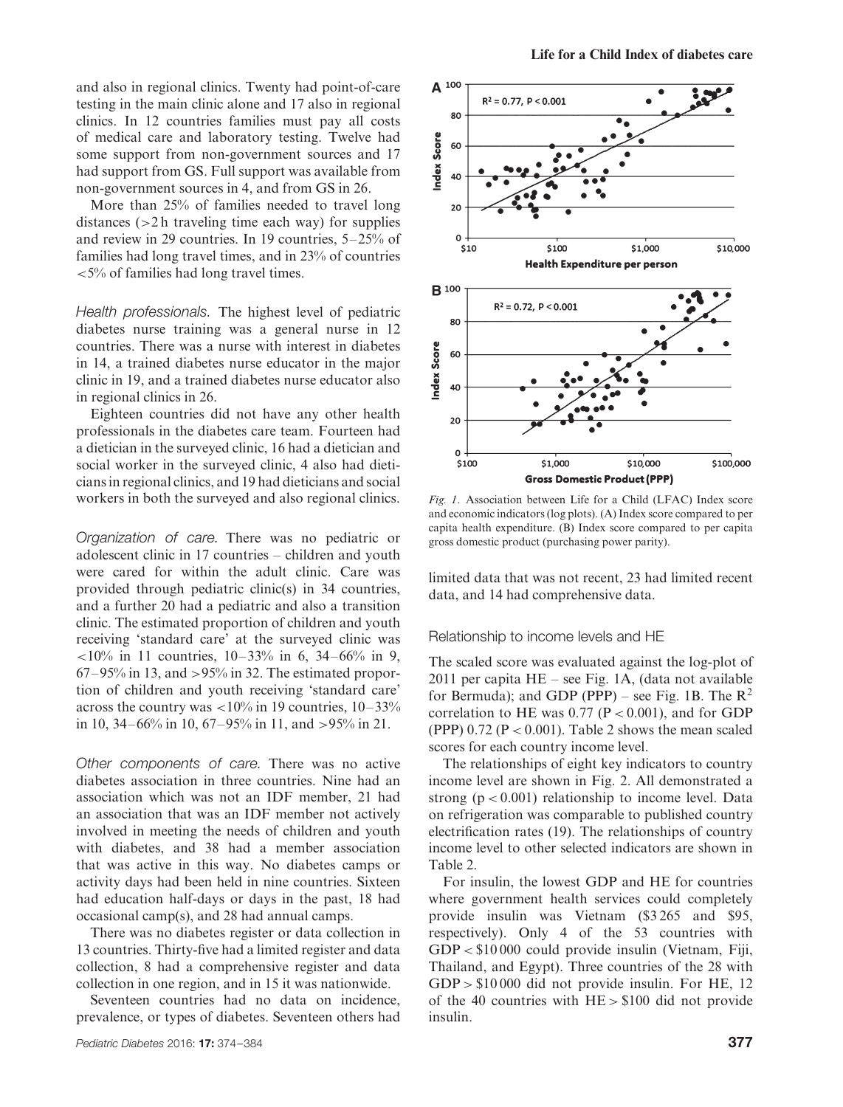and also in regional clinics. Twenty had point-of-care testing in the main clinic alone and 17 also in regional clinics. In 12 countries families must pay all costs of medical care and laboratory testing. Twelve had some support from non-government sources and 17 had support from GS. Full support was available from non-government sources in 4, and from GS in 26.

More than 25% of families needed to travel long distances (*>*2 h traveling time each way) for supplies and review in 29 countries. In 19 countries, 5–25% of families had long travel times, and in 23% of countries *<*5% of families had long travel times.

*Health professionals.* The highest level of pediatric diabetes nurse training was a general nurse in 12 countries. There was a nurse with interest in diabetes in 14, a trained diabetes nurse educator in the major clinic in 19, and a trained diabetes nurse educator also in regional clinics in 26.

Eighteen countries did not have any other health professionals in the diabetes care team. Fourteen had a dietician in the surveyed clinic, 16 had a dietician and social worker in the surveyed clinic, 4 also had dieticians in regional clinics, and 19 had dieticians and social workers in both the surveyed and also regional clinics.

*Organization of care.* There was no pediatric or adolescent clinic in 17 countries – children and youth were cared for within the adult clinic. Care was provided through pediatric clinic(s) in 34 countries, and a further 20 had a pediatric and also a transition clinic. The estimated proportion of children and youth receiving 'standard care' at the surveyed clinic was *<*10% in 11 countries, 10–33% in 6, 34–66% in 9, 67–95% in 13, and *>*95% in 32. The estimated proportion of children and youth receiving 'standard care' across the country was *<*10% in 19 countries, 10–33% in 10, 34–66% in 10, 67–95% in 11, and *>*95% in 21.

*Other components of care.* There was no active diabetes association in three countries. Nine had an association which was not an IDF member, 21 had an association that was an IDF member not actively involved in meeting the needs of children and youth with diabetes, and 38 had a member association that was active in this way. No diabetes camps or activity days had been held in nine countries. Sixteen had education half-days or days in the past, 18 had occasional camp(s), and 28 had annual camps.

There was no diabetes register or data collection in 13 countries. Thirty-five had a limited register and data collection, 8 had a comprehensive register and data collection in one region, and in 15 it was nationwide.

Seventeen countries had no data on incidence, prevalence, or types of diabetes. Seventeen others had



*Fig. 1*. Association between Life for a Child (LFAC) Index score and economic indicators (log plots). (A) Index score compared to per capita health expenditure. (B) Index score compared to per capita gross domestic product (purchasing power parity).

limited data that was not recent, 23 had limited recent data, and 14 had comprehensive data.

Relationship to income levels and HE

The scaled score was evaluated against the log-plot of 2011 per capita HE – see Fig. 1A, (data not available for Bermuda); and GDP (PPP) – see Fig. 1B. The  $R^2$ correlation to HE was  $0.77$  ( $P < 0.001$ ), and for GDP (PPP)  $0.72$  (P  $< 0.001$ ). Table 2 shows the mean scaled scores for each country income level.

The relationships of eight key indicators to country income level are shown in Fig. 2. All demonstrated a strong  $(p < 0.001)$  relationship to income level. Data on refrigeration was comparable to published country electrification rates (19). The relationships of country income level to other selected indicators are shown in Table 2.

For insulin, the lowest GDP and HE for countries where government health services could completely provide insulin was Vietnam (\$3 265 and \$95, respectively). Only 4 of the 53 countries with GDP *<* \$10 000 could provide insulin (Vietnam, Fiji, Thailand, and Egypt). Three countries of the 28 with GDP *>* \$10 000 did not provide insulin. For HE, 12 of the 40 countries with HE *>* \$100 did not provide insulin.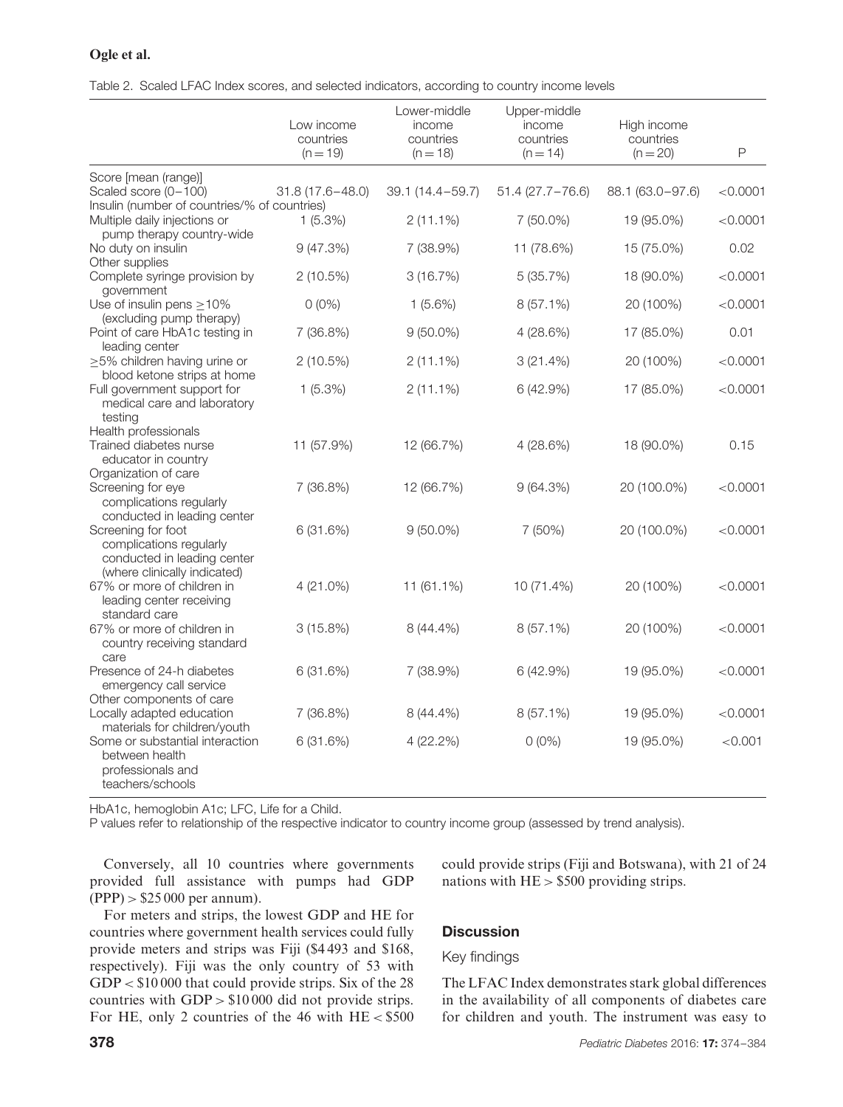### **Ogle et al.**

Table 2. Scaled LFAC Index scores, and selected indicators, according to country income levels

|                                                                                                              | Low income<br>countries<br>$(n = 19)$ | Lower-middle<br>income<br>countries<br>$(n = 18)$ | Upper-middle<br>income<br>countries<br>$(n = 14)$ | High income<br>countries<br>$(n = 20)$ | $\mathsf{P}$ |
|--------------------------------------------------------------------------------------------------------------|---------------------------------------|---------------------------------------------------|---------------------------------------------------|----------------------------------------|--------------|
| Score [mean (range)]                                                                                         |                                       |                                                   |                                                   |                                        |              |
| Scaled score (0-100)<br>Insulin (number of countries/% of countries)                                         | $31.8(17.6 - 48.0)$                   | 39.1 (14.4-59.7)                                  | $51.4(27.7 - 76.6)$                               | 88.1 (63.0-97.6)                       | < 0.0001     |
| Multiple daily injections or<br>pump therapy country-wide                                                    | $1(5.3\%)$                            | $2(11.1\%)$                                       | 7 (50.0%)                                         | 19 (95.0%)                             | < 0.0001     |
| No duty on insulin<br>Other supplies                                                                         | 9 (47.3%)                             | 7 (38.9%)                                         | 11 (78.6%)                                        | 15 (75.0%)                             | 0.02         |
| Complete syringe provision by<br>government                                                                  | 2(10.5%)                              | 3(16.7%)                                          | 5(35.7%)                                          | 18 (90.0%)                             | < 0.0001     |
| Use of insulin pens $>10\%$<br>(excluding pump therapy)                                                      | $0(0\%)$                              | $1(5.6\%)$                                        | 8 (57.1%)                                         | 20 (100%)                              | < 0.0001     |
| Point of care HbA1c testing in<br>leading center                                                             | 7 (36.8%)                             | $9(50.0\%)$                                       | 4(28.6%)                                          | 17 (85.0%)                             | 0.01         |
| $\geq$ 5% children having urine or<br>blood ketone strips at home                                            | 2(10.5%)                              | $2(11.1\%)$                                       | 3(21.4%)                                          | 20 (100%)                              | < 0.0001     |
| Full government support for<br>medical care and laboratory<br>testing                                        | $1(5.3\%)$                            | $2(11.1\%)$                                       | 6 (42.9%)                                         | 17 (85.0%)                             | < 0.0001     |
| Health professionals<br>Trained diabetes nurse<br>educator in country                                        | 11 (57.9%)                            | 12 (66.7%)                                        | 4(28.6%)                                          | 18 (90.0%)                             | 0.15         |
| Organization of care<br>Screening for eye<br>complications regularly<br>conducted in leading center          | 7 (36.8%)                             | 12 (66.7%)                                        | 9(64.3%)                                          | 20 (100.0%)                            | < 0.0001     |
| Screening for foot<br>complications regularly<br>conducted in leading center<br>(where clinically indicated) | 6(31.6%)                              | $9(50.0\%)$                                       | 7 (50%)                                           | 20 (100.0%)                            | < 0.0001     |
| 67% or more of children in<br>leading center receiving<br>standard care                                      | $4(21.0\%)$                           | 11 (61.1%)                                        | 10 (71.4%)                                        | 20 (100%)                              | < 0.0001     |
| 67% or more of children in<br>country receiving standard<br>care                                             | 3(15.8%)                              | $8(44.4\%)$                                       | $8(57.1\%)$                                       | 20 (100%)                              | < 0.0001     |
| Presence of 24-h diabetes<br>emergency call service<br>Other components of care                              | 6(31.6%)                              | 7 (38.9%)                                         | 6 (42.9%)                                         | 19 (95.0%)                             | < 0.0001     |
| Locally adapted education<br>materials for children/youth                                                    | 7 (36.8%)                             | 8 (44.4%)                                         | $8(57.1\%)$                                       | 19 (95.0%)                             | < 0.0001     |
| Some or substantial interaction<br>between health<br>professionals and<br>teachers/schools                   | 6(31.6%)                              | 4 (22.2%)                                         | $0(0\%)$                                          | 19 (95.0%)                             | < 0.001      |

HbA1c, hemoglobin A1c; LFC, Life for a Child.

P values refer to relationship of the respective indicator to country income group (assessed by trend analysis).

Conversely, all 10 countries where governments provided full assistance with pumps had GDP (PPP) *>* \$25 000 per annum).

For meters and strips, the lowest GDP and HE for countries where government health services could fully provide meters and strips was Fiji (\$4 493 and \$168, respectively). Fiji was the only country of 53 with GDP *<* \$10 000 that could provide strips. Six of the 28 countries with GDP *>* \$10 000 did not provide strips. For HE, only 2 countries of the 46 with HE *<* \$500 could provide strips (Fiji and Botswana), with 21 of 24 nations with HE *>* \$500 providing strips.

# **Discussion**

#### Key findings

The LFAC Index demonstrates stark global differences in the availability of all components of diabetes care for children and youth. The instrument was easy to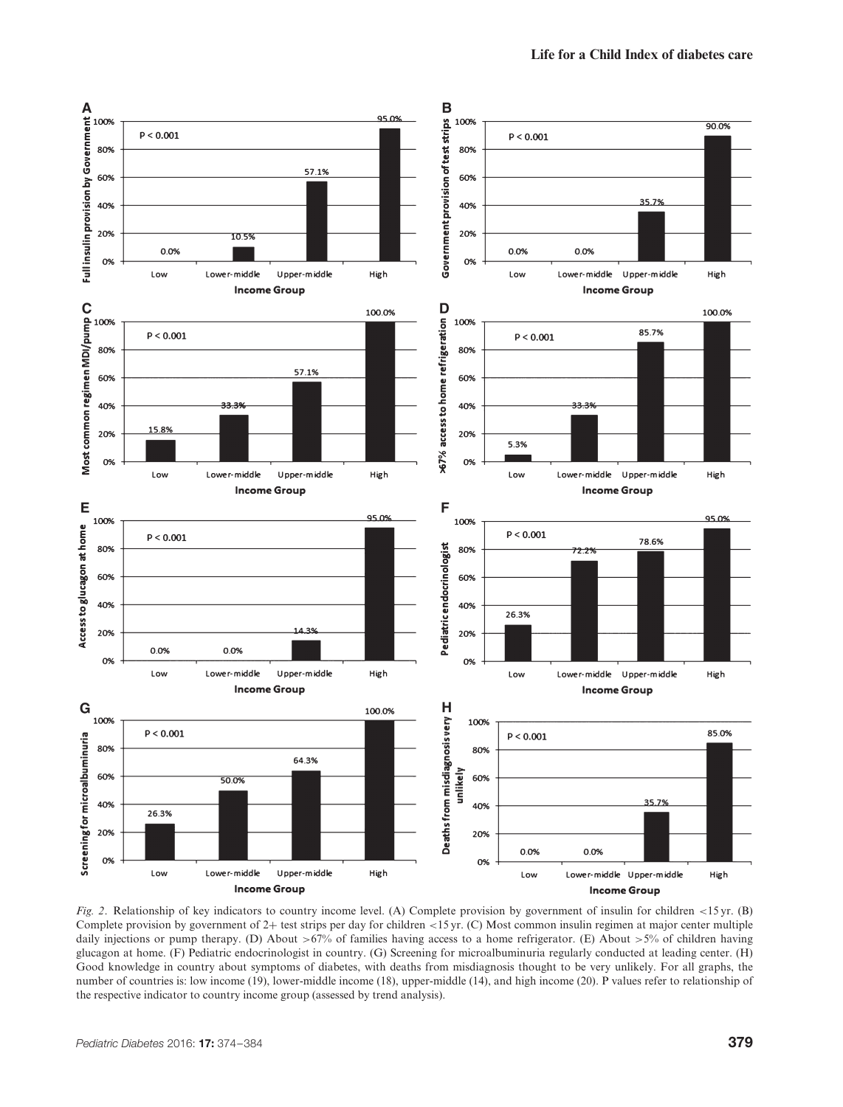

*Fig. 2*. Relationship of key indicators to country income level. (A) Complete provision by government of insulin for children *<*15 yr. (B) Complete provision by government of 2+ test strips per day for children *<*15 yr. (C) Most common insulin regimen at major center multiple daily injections or pump therapy. (D) About *>*67% of families having access to a home refrigerator. (E) About *>*5% of children having glucagon at home. (F) Pediatric endocrinologist in country. (G) Screening for microalbuminuria regularly conducted at leading center. (H) Good knowledge in country about symptoms of diabetes, with deaths from misdiagnosis thought to be very unlikely. For all graphs, the number of countries is: low income (19), lower-middle income (18), upper-middle (14), and high income (20). P values refer to relationship of the respective indicator to country income group (assessed by trend analysis).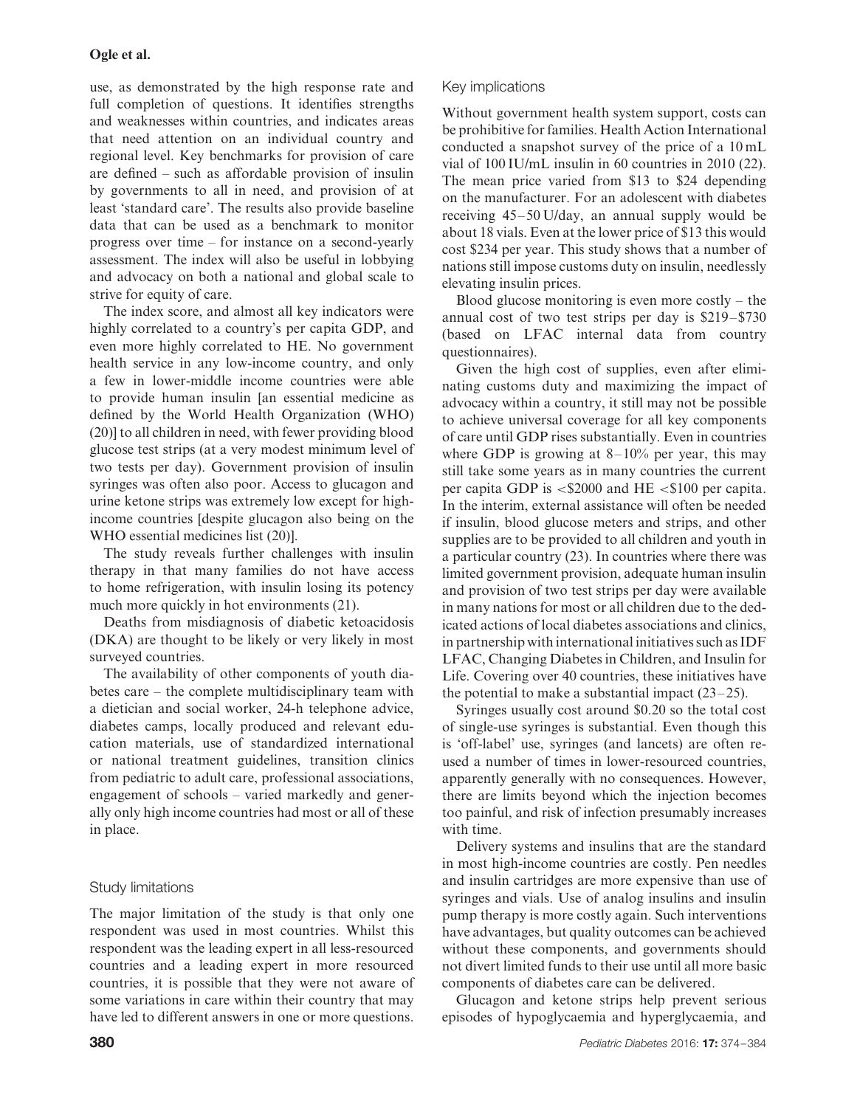use, as demonstrated by the high response rate and full completion of questions. It identifies strengths and weaknesses within countries, and indicates areas that need attention on an individual country and regional level. Key benchmarks for provision of care are defined – such as affordable provision of insulin by governments to all in need, and provision of at least 'standard care'. The results also provide baseline data that can be used as a benchmark to monitor progress over time – for instance on a second-yearly assessment. The index will also be useful in lobbying and advocacy on both a national and global scale to strive for equity of care.

The index score, and almost all key indicators were highly correlated to a country's per capita GDP, and even more highly correlated to HE. No government health service in any low-income country, and only a few in lower-middle income countries were able to provide human insulin [an essential medicine as defined by the World Health Organization (WHO) (20)] to all children in need, with fewer providing blood glucose test strips (at a very modest minimum level of two tests per day). Government provision of insulin syringes was often also poor. Access to glucagon and urine ketone strips was extremely low except for highincome countries [despite glucagon also being on the WHO essential medicines list (20)].

The study reveals further challenges with insulin therapy in that many families do not have access to home refrigeration, with insulin losing its potency much more quickly in hot environments  $(21)$ .

Deaths from misdiagnosis of diabetic ketoacidosis (DKA) are thought to be likely or very likely in most surveyed countries.

The availability of other components of youth diabetes care – the complete multidisciplinary team with a dietician and social worker, 24-h telephone advice, diabetes camps, locally produced and relevant education materials, use of standardized international or national treatment guidelines, transition clinics from pediatric to adult care, professional associations, engagement of schools – varied markedly and generally only high income countries had most or all of these in place.

# Study limitations

The major limitation of the study is that only one respondent was used in most countries. Whilst this respondent was the leading expert in all less-resourced countries and a leading expert in more resourced countries, it is possible that they were not aware of some variations in care within their country that may have led to different answers in one or more questions.

# Key implications

Without government health system support, costs can be prohibitive for families. Health Action International conducted a snapshot survey of the price of a 10 mL vial of 100 IU/mL insulin in 60 countries in 2010 (22). The mean price varied from \$13 to \$24 depending on the manufacturer. For an adolescent with diabetes receiving 45–50 U/day, an annual supply would be about 18 vials. Even at the lower price of \$13 this would cost \$234 per year. This study shows that a number of nations still impose customs duty on insulin, needlessly elevating insulin prices.

Blood glucose monitoring is even more costly  $-$  the annual cost of two test strips per day is \$219–\$730 (based on LFAC internal data from country questionnaires).

Given the high cost of supplies, even after eliminating customs duty and maximizing the impact of advocacy within a country, it still may not be possible to achieve universal coverage for all key components of care until GDP rises substantially. Even in countries where GDP is growing at 8–10% per year, this may still take some years as in many countries the current per capita GDP is *<*\$2000 and HE *<*\$100 per capita. In the interim, external assistance will often be needed if insulin, blood glucose meters and strips, and other supplies are to be provided to all children and youth in a particular country (23). In countries where there was limited government provision, adequate human insulin and provision of two test strips per day were available in many nations for most or all children due to the dedicated actions of local diabetes associations and clinics, in partnership with international initiatives such as IDF LFAC, Changing Diabetes in Children, and Insulin for Life. Covering over 40 countries, these initiatives have the potential to make a substantial impact (23–25).

Syringes usually cost around \$0.20 so the total cost of single-use syringes is substantial. Even though this is 'off-label' use, syringes (and lancets) are often reused a number of times in lower-resourced countries, apparently generally with no consequences. However, there are limits beyond which the injection becomes too painful, and risk of infection presumably increases with time.

Delivery systems and insulins that are the standard in most high-income countries are costly. Pen needles and insulin cartridges are more expensive than use of syringes and vials. Use of analog insulins and insulin pump therapy is more costly again. Such interventions have advantages, but quality outcomes can be achieved without these components, and governments should not divert limited funds to their use until all more basic components of diabetes care can be delivered.

Glucagon and ketone strips help prevent serious episodes of hypoglycaemia and hyperglycaemia, and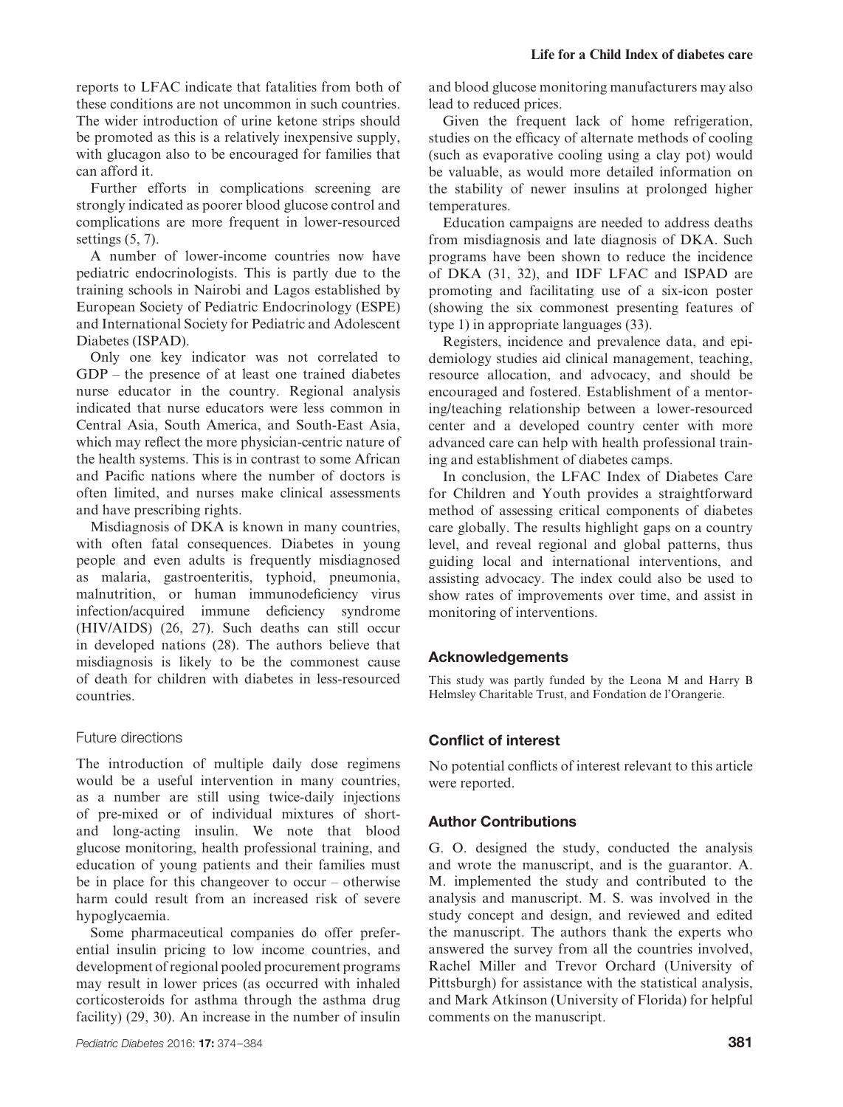reports to LFAC indicate that fatalities from both of these conditions are not uncommon in such countries. The wider introduction of urine ketone strips should be promoted as this is a relatively inexpensive supply, with glucagon also to be encouraged for families that can afford it.

Further efforts in complications screening are strongly indicated as poorer blood glucose control and complications are more frequent in lower-resourced settings (5, 7).

A number of lower-income countries now have pediatric endocrinologists. This is partly due to the training schools in Nairobi and Lagos established by European Society of Pediatric Endocrinology (ESPE) and International Society for Pediatric and Adolescent Diabetes (ISPAD).

Only one key indicator was not correlated to GDP – the presence of at least one trained diabetes nurse educator in the country. Regional analysis indicated that nurse educators were less common in Central Asia, South America, and South-East Asia, which may reflect the more physician-centric nature of the health systems. This is in contrast to some African and Pacific nations where the number of doctors is often limited, and nurses make clinical assessments and have prescribing rights.

Misdiagnosis of DKA is known in many countries, with often fatal consequences. Diabetes in young people and even adults is frequently misdiagnosed as malaria, gastroenteritis, typhoid, pneumonia, malnutrition, or human immunodeficiency virus infection/acquired immune deficiency syndrome (HIV/AIDS) (26, 27). Such deaths can still occur in developed nations (28). The authors believe that misdiagnosis is likely to be the commonest cause of death for children with diabetes in less-resourced countries.

### Future directions

The introduction of multiple daily dose regimens would be a useful intervention in many countries, as a number are still using twice-daily injections of pre-mixed or of individual mixtures of shortand long-acting insulin. We note that blood glucose monitoring, health professional training, and education of young patients and their families must be in place for this changeover to occur – otherwise harm could result from an increased risk of severe hypoglycaemia.

Some pharmaceutical companies do offer preferential insulin pricing to low income countries, and development of regional pooled procurement programs may result in lower prices (as occurred with inhaled corticosteroids for asthma through the asthma drug facility) (29, 30). An increase in the number of insulin and blood glucose monitoring manufacturers may also lead to reduced prices.

Given the frequent lack of home refrigeration, studies on the efficacy of alternate methods of cooling (such as evaporative cooling using a clay pot) would be valuable, as would more detailed information on the stability of newer insulins at prolonged higher temperatures.

Education campaigns are needed to address deaths from misdiagnosis and late diagnosis of DKA. Such programs have been shown to reduce the incidence of DKA (31, 32), and IDF LFAC and ISPAD are promoting and facilitating use of a six-icon poster (showing the six commonest presenting features of type 1) in appropriate languages (33).

Registers, incidence and prevalence data, and epidemiology studies aid clinical management, teaching, resource allocation, and advocacy, and should be encouraged and fostered. Establishment of a mentoring/teaching relationship between a lower-resourced center and a developed country center with more advanced care can help with health professional training and establishment of diabetes camps.

In conclusion, the LFAC Index of Diabetes Care for Children and Youth provides a straightforward method of assessing critical components of diabetes care globally. The results highlight gaps on a country level, and reveal regional and global patterns, thus guiding local and international interventions, and assisting advocacy. The index could also be used to show rates of improvements over time, and assist in monitoring of interventions.

# **Acknowledgements**

This study was partly funded by the Leona M and Harry B Helmsley Charitable Trust, and Fondation de l'Orangerie.

### **Conflict of interest**

No potential conflicts of interest relevant to this article were reported.

# **Author Contributions**

G. O. designed the study, conducted the analysis and wrote the manuscript, and is the guarantor. A. M. implemented the study and contributed to the analysis and manuscript. M. S. was involved in the study concept and design, and reviewed and edited the manuscript. The authors thank the experts who answered the survey from all the countries involved, Rachel Miller and Trevor Orchard (University of Pittsburgh) for assistance with the statistical analysis, and Mark Atkinson (University of Florida) for helpful comments on the manuscript.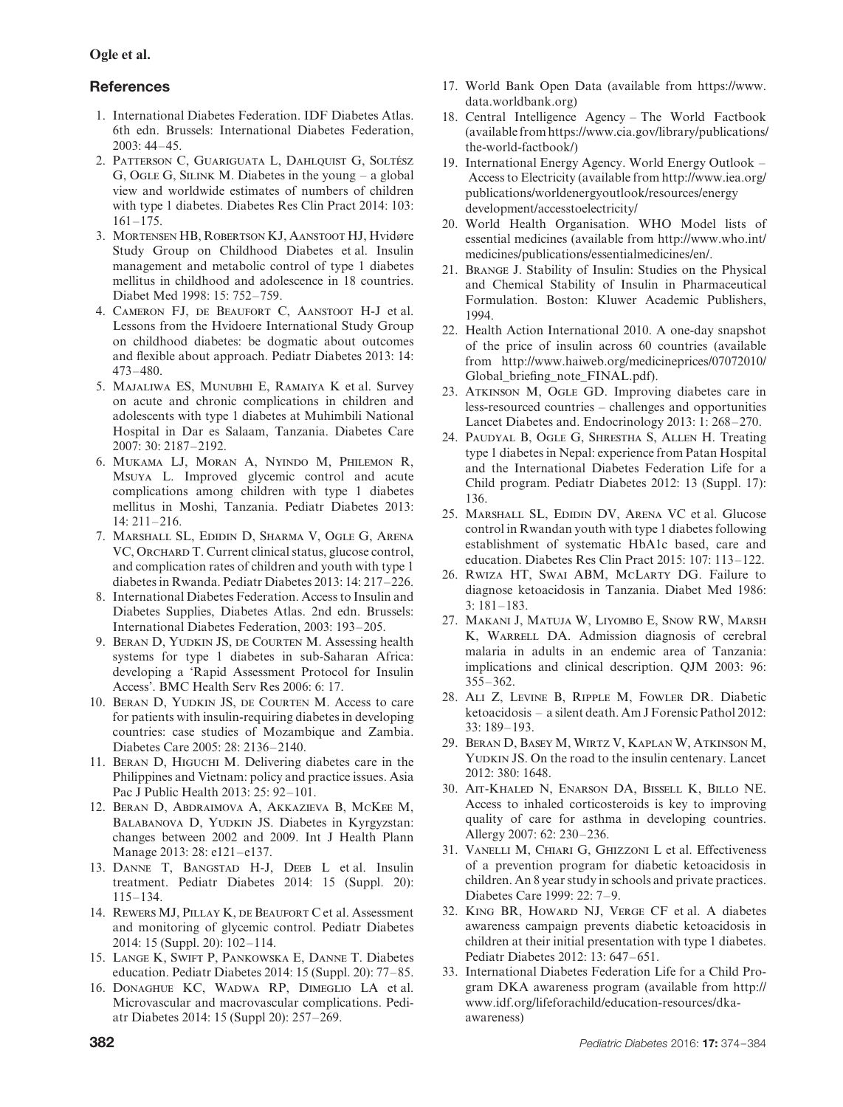# **References**

- 1. International Diabetes Federation. IDF Diabetes Atlas. 6th edn. Brussels: International Diabetes Federation,  $2003 \cdot 44 - 45$
- 2. PATTERSON C, GUARIGUATA L, DAHLQUIST G, SOLTÉSZ G, Ogle G, Silink M. Diabetes in the young – a global view and worldwide estimates of numbers of children with type 1 diabetes. Diabetes Res Clin Pract 2014: 103: 161–175.
- 3. Mortensen HB, Robertson KJ, Aanstoot HJ, Hvidøre Study Group on Childhood Diabetes et al. Insulin management and metabolic control of type 1 diabetes mellitus in childhood and adolescence in 18 countries. Diabet Med 1998: 15: 752–759.
- 4. Cameron FJ, de Beaufort C, Aanstoot H-J et al. Lessons from the Hvidoere International Study Group on childhood diabetes: be dogmatic about outcomes and flexible about approach. Pediatr Diabetes 2013: 14: 473–480.
- 5. Majaliwa ES, Munubhi E, Ramaiya K et al. Survey on acute and chronic complications in children and adolescents with type 1 diabetes at Muhimbili National Hospital in Dar es Salaam, Tanzania. Diabetes Care 2007: 30: 2187–2192.
- 6. Mukama LJ, Moran A, Nyindo M, Philemon R, Msuya L. Improved glycemic control and acute complications among children with type 1 diabetes mellitus in Moshi, Tanzania. Pediatr Diabetes 2013: 14: 211–216.
- 7. Marshall SL, Edidin D, Sharma V, Ogle G, Arena VC, ORCHARD T. Current clinical status, glucose control, and complication rates of children and youth with type 1 diabetes in Rwanda. Pediatr Diabetes 2013: 14: 217–226.
- 8. International Diabetes Federation. Access to Insulin and Diabetes Supplies, Diabetes Atlas. 2nd edn. Brussels: International Diabetes Federation, 2003: 193–205.
- 9. Beran D, Yudkin JS, de Courten M. Assessing health systems for type 1 diabetes in sub-Saharan Africa: developing a 'Rapid Assessment Protocol for Insulin Access'. BMC Health Serv Res 2006: 6: 17.
- 10. Beran D, Yudkin JS, de Courten M. Access to care for patients with insulin-requiring diabetes in developing countries: case studies of Mozambique and Zambia. Diabetes Care 2005: 28: 2136–2140.
- 11. Beran D, Higuchi M. Delivering diabetes care in the Philippines and Vietnam: policy and practice issues. Asia Pac J Public Health 2013: 25: 92–101.
- 12. Beran D, Abdraimova A, Akkazieva B, McKee M, BALABANOVA D, YUDKIN JS. Diabetes in Kyrgyzstan: changes between 2002 and 2009. Int J Health Plann Manage 2013: 28: e121–e137.
- 13. Danne T, Bangstad H-J, Deeb L et al. Insulin treatment. Pediatr Diabetes 2014: 15 (Suppl. 20): 115–134.
- 14. Rewers MJ, Pillay K, de Beaufort C et al. Assessment and monitoring of glycemic control. Pediatr Diabetes 2014: 15 (Suppl. 20): 102–114.
- 15. Lange K, Swift P, Pankowska E, Danne T. Diabetes education. Pediatr Diabetes 2014: 15 (Suppl. 20): 77–85.
- 16. Donaghue KC, Wadwa RP, Dimeglio LA et al. Microvascular and macrovascular complications. Pediatr Diabetes 2014: 15 (Suppl 20): 257–269.
- 17. World Bank Open Data (available from https://www. data.worldbank.org)
- 18. Central Intelligence Agency The World Factbook (available from https://www.cia.gov/library/publications/ the-world-factbook/)
- 19. International Energy Agency. World Energy Outlook Access to Electricity (available from http://www.iea.org/ publications/worldenergyoutlook/resources/energy development/accesstoelectricity/
- 20. World Health Organisation. WHO Model lists of essential medicines (available from http://www.who.int/ medicines/publications/essentialmedicines/en/.
- 21. Brange J. Stability of Insulin: Studies on the Physical and Chemical Stability of Insulin in Pharmaceutical Formulation. Boston: Kluwer Academic Publishers, 1994.
- 22. Health Action International 2010. A one-day snapshot of the price of insulin across 60 countries (available from http://www.haiweb.org/medicineprices/07072010/ Global briefing note FINAL.pdf).
- 23. Atkinson M, Ogle GD. Improving diabetes care in less-resourced countries – challenges and opportunities Lancet Diabetes and. Endocrinology 2013: 1: 268–270.
- 24. Paudyal B, Ogle G, Shrestha S, Allen H. Treating type 1 diabetes in Nepal: experience from Patan Hospital and the International Diabetes Federation Life for a Child program. Pediatr Diabetes 2012: 13 (Suppl. 17): 136.
- 25. Marshall SL, Edidin DV, Arena VC et al. Glucose control in Rwandan youth with type 1 diabetes following establishment of systematic HbA1c based, care and education. Diabetes Res Clin Pract 2015: 107: 113–122.
- 26. Rwiza HT, Swai ABM, McLarty DG. Failure to diagnose ketoacidosis in Tanzania. Diabet Med 1986: 3: 181–183.
- 27. Makani J, Matuja W, Liyombo E, Snow RW, Marsh K, WARRELL DA. Admission diagnosis of cerebral malaria in adults in an endemic area of Tanzania: implications and clinical description. QJM 2003: 96: 355–362.
- 28. Ali Z, Levine B, Ripple M, Fowler DR. Diabetic ketoacidosis – a silent death. Am J Forensic Pathol 2012: 33: 189–193.
- 29. Beran D, Basey M, Wirtz V, Kaplan W, Atkinson M, YUDKIN JS. On the road to the insulin centenary. Lancet 2012: 380: 1648.
- 30. Ait-Khaled N, Enarson DA, Bissell K, Billo NE. Access to inhaled corticosteroids is key to improving quality of care for asthma in developing countries. Allergy 2007: 62: 230–236.
- 31. Vanelli M, Chiari G, Ghizzoni L et al. Effectiveness of a prevention program for diabetic ketoacidosis in children. An 8 year study in schools and private practices. Diabetes Care 1999: 22: 7–9.
- 32. King BR, Howard NJ, Verge CF et al. A diabetes awareness campaign prevents diabetic ketoacidosis in children at their initial presentation with type 1 diabetes. Pediatr Diabetes 2012: 13: 647–651.
- 33. International Diabetes Federation Life for a Child Program DKA awareness program (available from http:// www.idf.org/lifeforachild/education-resources/dkaawareness)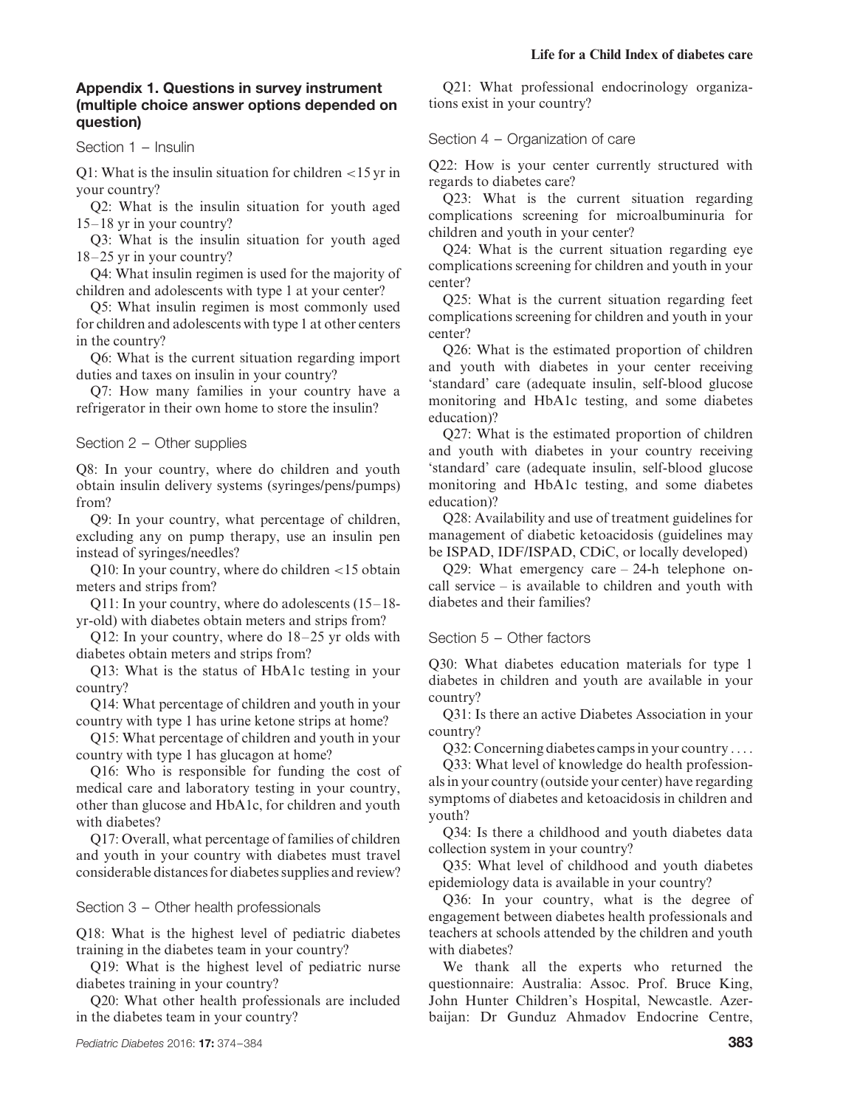# **Appendix 1. Questions in survey instrument (multiple choice answer options depended on question)**

Section 1 – Insulin

Q1: What is the insulin situation for children *<*15 yr in your country?

Q2: What is the insulin situation for youth aged 15–18 yr in your country?

Q3: What is the insulin situation for youth aged 18–25 yr in your country?

Q4: What insulin regimen is used for the majority of children and adolescents with type 1 at your center?

Q5: What insulin regimen is most commonly used for children and adolescents with type 1 at other centers in the country?

Q6: What is the current situation regarding import duties and taxes on insulin in your country?

Q7: How many families in your country have a refrigerator in their own home to store the insulin?

Section 2 – Other supplies

Q8: In your country, where do children and youth obtain insulin delivery systems (syringes/pens/pumps) from?

Q9: In your country, what percentage of children, excluding any on pump therapy, use an insulin pen instead of syringes/needles?

Q10: In your country, where do children *<*15 obtain meters and strips from?

Q11: In your country, where do adolescents (15–18 yr-old) with diabetes obtain meters and strips from?

Q12: In your country, where do 18–25 yr olds with diabetes obtain meters and strips from?

Q13: What is the status of HbA1c testing in your country?

Q14: What percentage of children and youth in your country with type 1 has urine ketone strips at home?

Q15: What percentage of children and youth in your country with type 1 has glucagon at home?

Q16: Who is responsible for funding the cost of medical care and laboratory testing in your country, other than glucose and HbA1c, for children and youth with diabetes?

Q17: Overall, what percentage of families of children and youth in your country with diabetes must travel considerable distances for diabetes supplies and review?

Section 3 – Other health professionals

Q18: What is the highest level of pediatric diabetes training in the diabetes team in your country?

Q19: What is the highest level of pediatric nurse diabetes training in your country?

Q20: What other health professionals are included in the diabetes team in your country?

Q21: What professional endocrinology organizations exist in your country?

#### Section 4 – Organization of care

Q22: How is your center currently structured with regards to diabetes care?

Q23: What is the current situation regarding complications screening for microalbuminuria for children and youth in your center?

Q24: What is the current situation regarding eye complications screening for children and youth in your center?

Q25: What is the current situation regarding feet complications screening for children and youth in your center?

Q26: What is the estimated proportion of children and youth with diabetes in your center receiving 'standard' care (adequate insulin, self-blood glucose monitoring and HbA1c testing, and some diabetes education)?

Q27: What is the estimated proportion of children and youth with diabetes in your country receiving 'standard' care (adequate insulin, self-blood glucose monitoring and HbA1c testing, and some diabetes education)?

Q28: Availability and use of treatment guidelines for management of diabetic ketoacidosis (guidelines may be ISPAD, IDF/ISPAD, CDiC, or locally developed)

Q29: What emergency care – 24-h telephone oncall service – is available to children and youth with diabetes and their families?

### Section 5 – Other factors

Q30: What diabetes education materials for type 1 diabetes in children and youth are available in your country?

Q31: Is there an active Diabetes Association in your country?

Q32: Concerning diabetes camps in your country ....

Q33: What level of knowledge do health professionals in your country (outside your center) have regarding symptoms of diabetes and ketoacidosis in children and youth?

Q34: Is there a childhood and youth diabetes data collection system in your country?

Q35: What level of childhood and youth diabetes epidemiology data is available in your country?

Q36: In your country, what is the degree of engagement between diabetes health professionals and teachers at schools attended by the children and youth with diabetes?

We thank all the experts who returned the questionnaire: Australia: Assoc. Prof. Bruce King, John Hunter Children's Hospital, Newcastle. Azerbaijan: Dr Gunduz Ahmadov Endocrine Centre,